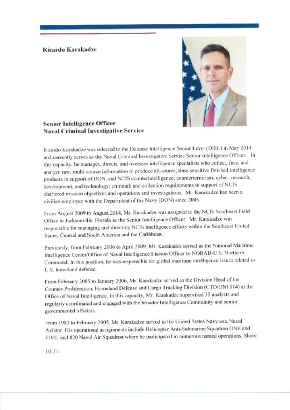## Ricardo Karakadze



**Senior Intelligence Officer Naval Criminal Investigative Service** 

Ricardo Karakadze was selected to the Defense Intelligence Senior Level (DISL) in May 2014 and currently serves as the Naval Criminal Investigative Service Senior Intelligence Officer. In this capacity, he manages, directs, and oversees intelligence specialists who collect, fuse, and analyze raw, multi-source information to produce all-source, time-sensitive finished intelligence products in support of DON, and NCIS counterintelligence; counterterrorism; cyber; research, development, and technology; criminal; and collection requirements in support of NCIS chartered mission objectives and operations and investigations. Mr. Karakadze has been a civilian employee with the Department of the Navy (DON) since 2005.

From August 2009 to August 2014, Mr. Karakadze was assigned to the NCIS Southeast Field Office in Jacksonville, Florida as the Senior Intelligence Officer. Mr. Karakadze was responsible for managing and directing NCIS intelligence efforts within the Southeast United States, Central and South America and the Caribbean.

Previously, from February 2006 to April 2009, Mr. Karakadze served as the National Maritime Intelligence Center/Office of Naval Intelligence Liaison Officer to NORAD-U.S. Northern Command. In this position, he was responsible for global maritime intelligence issues related to U.S. homeland defense.

From February 2005 to January 2006, Mr. Karakadze served as the Division Head of the Counter-Proliferation, Homeland Defense and Cargo Tracking Division (CTD/ONI 114) at the Office of Naval Intelligence. In this capacity, Mr. Karakadze supervised 35 analysts and regularly coordinated and engaged with the broader Intelligence Community and senior governmental officials.

From 1982 to February 2005, Mr. Karakadze served in the United States Navy as a Naval Aviator. His operational assignments include Helicopter Anti-Submarine Squadron ONE and FIVE, and 820 Naval Air Squadron where he participated in numerous named operations. Shore

 $10 - 14$